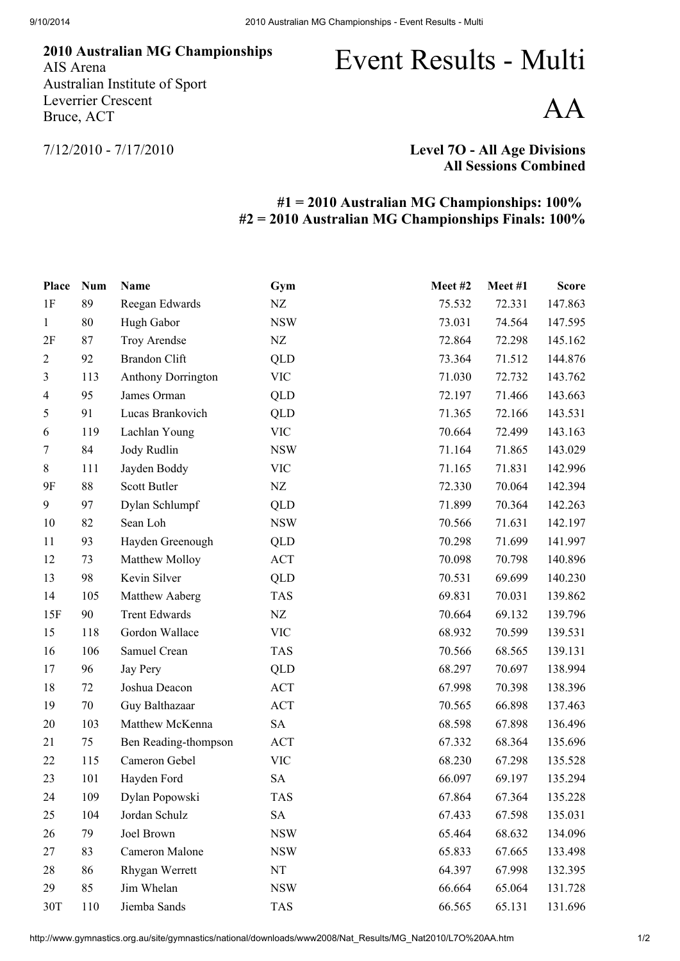Australian MG Championships AIS Arena Australian Institute of Sport Leverrier Crescent Bruce, ACT

## Event Results - Multi

AA

7/12/2010 - 7/17/2010

Level 7O - All Age Divisions All Sessions Combined

## #1 = 2010 Australian MG Championships: 100% #2 = 2010 Australian MG Championships Finals: 100%

| Place          | <b>Num</b> | <b>Name</b>               | Gym        | Meet#2 | Meet#1 | <b>Score</b> |
|----------------|------------|---------------------------|------------|--------|--------|--------------|
| 1F             | 89         | Reegan Edwards            | $\rm{NZ}$  | 75.532 | 72.331 | 147.863      |
| $\mathbf{1}$   | 80         | Hugh Gabor                | <b>NSW</b> | 73.031 | 74.564 | 147.595      |
| 2F             | 87         | Troy Arendse              | NZ         | 72.864 | 72.298 | 145.162      |
| $\overline{2}$ | 92         | <b>Brandon Clift</b>      | QLD        | 73.364 | 71.512 | 144.876      |
| 3              | 113        | <b>Anthony Dorrington</b> | <b>VIC</b> | 71.030 | 72.732 | 143.762      |
| $\overline{4}$ | 95         | James Orman               | QLD        | 72.197 | 71.466 | 143.663      |
| 5              | 91         | Lucas Brankovich          | QLD        | 71.365 | 72.166 | 143.531      |
| 6              | 119        | Lachlan Young             | <b>VIC</b> | 70.664 | 72.499 | 143.163      |
| 7              | 84         | Jody Rudlin               | <b>NSW</b> | 71.164 | 71.865 | 143.029      |
| 8              | 111        | Jayden Boddy              | <b>VIC</b> | 71.165 | 71.831 | 142.996      |
| 9F             | 88         | Scott Butler              | NZ         | 72.330 | 70.064 | 142.394      |
| 9              | 97         | Dylan Schlumpf            | QLD        | 71.899 | 70.364 | 142.263      |
| 10             | 82         | Sean Loh                  | <b>NSW</b> | 70.566 | 71.631 | 142.197      |
| 11             | 93         | Hayden Greenough          | QLD        | 70.298 | 71.699 | 141.997      |
| 12             | 73         | Matthew Molloy            | <b>ACT</b> | 70.098 | 70.798 | 140.896      |
| 13             | 98         | Kevin Silver              | QLD        | 70.531 | 69.699 | 140.230      |
| 14             | 105        | Matthew Aaberg            | <b>TAS</b> | 69.831 | 70.031 | 139.862      |
| 15F            | 90         | <b>Trent Edwards</b>      | NZ         | 70.664 | 69.132 | 139.796      |
| 15             | 118        | Gordon Wallace            | <b>VIC</b> | 68.932 | 70.599 | 139.531      |
| 16             | 106        | Samuel Crean              | <b>TAS</b> | 70.566 | 68.565 | 139.131      |
| 17             | 96         | Jay Pery                  | QLD        | 68.297 | 70.697 | 138.994      |
| 18             | 72         | Joshua Deacon             | ACT        | 67.998 | 70.398 | 138.396      |
| 19             | 70         | Guy Balthazaar            | <b>ACT</b> | 70.565 | 66.898 | 137.463      |
| 20             | 103        | Matthew McKenna           | SA         | 68.598 | 67.898 | 136.496      |
| 21             | 75         | Ben Reading-thompson      | ACT        | 67.332 | 68.364 | 135.696      |
| 22             | 115        | Cameron Gebel             | <b>VIC</b> | 68.230 | 67.298 | 135.528      |
| 23             | 101        | Hayden Ford               | <b>SA</b>  | 66.097 | 69.197 | 135.294      |
| 24             | 109        | Dylan Popowski            | <b>TAS</b> | 67.864 | 67.364 | 135.228      |
| 25             | 104        | Jordan Schulz             | <b>SA</b>  | 67.433 | 67.598 | 135.031      |
| $26\,$         | 79         | Joel Brown                | <b>NSW</b> | 65.464 | 68.632 | 134.096      |
| 27             | 83         | Cameron Malone            | <b>NSW</b> | 65.833 | 67.665 | 133.498      |
| 28             | 86         | Rhygan Werrett            | NT         | 64.397 | 67.998 | 132.395      |
| 29             | 85         | Jim Whelan                | <b>NSW</b> | 66.664 | 65.064 | 131.728      |
| 30T            | 110        | Jiemba Sands              | <b>TAS</b> | 66.565 | 65.131 | 131.696      |